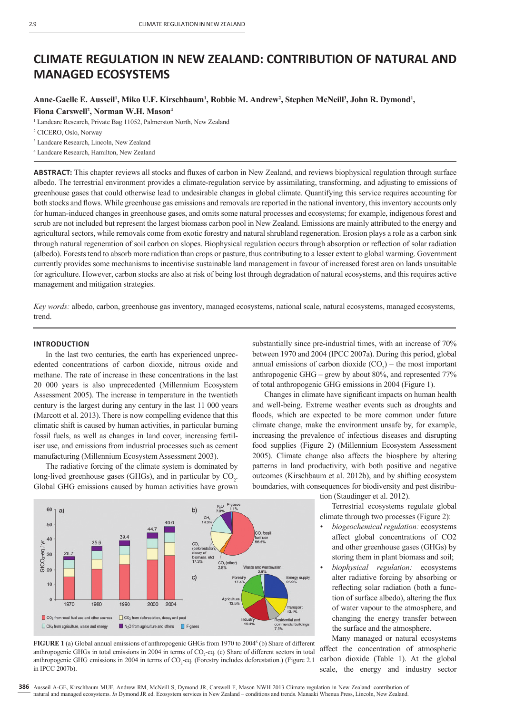# **CLIMATE REGULATION IN NEW ZEALAND: CONTRIBUTION OF NATURAL AND MANAGED ECOSYSTEMS**

## Anne-Gaelle E. Ausseil<sup>ı</sup>, Miko U.F. Kirschbaum<sup>ı</sup>, Robbie M. Andrew<sup>2</sup>, Stephen McNeill<sup>3</sup>, John R. Dymond<sup>ı</sup>, **Fiona Carswell2 , Norman W.H. Mason4**

<sup>1</sup> Landcare Research, Private Bag 11052, Palmerston North, New Zealand

3 Landcare Research, Lincoln, New Zealand

4 Landcare Research, Hamilton, New Zealand

**ABSTRACT:** This chapter reviews all stocks and fluxes of carbon in New Zealand, and reviews biophysical regulation through surface albedo. The terrestrial environment provides a climate-regulation service by assimilating, transforming, and adjusting to emissions of greenhouse gases that could otherwise lead to undesirable changes in global climate. Quantifying this service requires accounting for both stocks and flows. While greenhouse gas emissions and removals are reported in the national inventory, this inventory accounts only for human-induced changes in greenhouse gases, and omits some natural processes and ecosystems; for example, indigenous forest and scrub are not included but represent the largest biomass carbon pool in New Zealand. Emissions are mainly attributed to the energy and agricultural sectors, while removals come from exotic forestry and natural shrubland regeneration. Erosion plays a role as a carbon sink through natural regeneration of soil carbon on slopes. Biophysical regulation occurs through absorption or reflection of solar radiation (albedo). Forests tend to absorb more radiation than crops or pasture, thus contributing to a lesser extent to global warming. Government currently provides some mechanisms to incentivise sustainable land management in favour of increased forest area on lands unsuitable for agriculture. However, carbon stocks are also at risk of being lost through degradation of natural ecosystems, and this requires active management and mitigation strategies.

*Key words:* albedo, carbon, greenhouse gas inventory, managed ecosystems, national scale, natural ecosystems, managed ecosystems, trend.

#### **INTRODUCTION**

In the last two centuries, the earth has experienced unprecedented concentrations of carbon dioxide, nitrous oxide and methane. The rate of increase in these concentrations in the last 20 000 years is also unprecedented (Millennium Ecosystem Assessment 2005). The increase in temperature in the twentieth century is the largest during any century in the last 11 000 years (Marcott et al. 2013). There is now compelling evidence that this climatic shift is caused by human activities, in particular burning fossil fuels, as well as changes in land cover, increasing fertiliser use, and emissions from industrial processes such as cement manufacturing (Millennium Ecosystem Assessment 2003).

The radiative forcing of the climate system is dominated by long-lived greenhouse gases (GHGs), and in particular by  $CO<sub>2</sub>$ . Global GHG emissions caused by human activities have grown substantially since pre-industrial times, with an increase of 70% between 1970 and 2004 (IPCC 2007a). During this period, global annual emissions of carbon dioxide  $(CO_2)$  – the most important anthropogenic GHG – grew by about 80%, and represented 77% of total anthropogenic GHG emissions in 2004 (Figure 1).

Changes in climate have significant impacts on human health and well-being. Extreme weather events such as droughts and floods, which are expected to be more common under future climate change, make the environment unsafe by, for example, increasing the prevalence of infectious diseases and disrupting food supplies (Figure 2) (Millennium Ecosystem Assessment 2005). Climate change also affects the biosphere by altering patterns in land productivity, with both positive and negative outcomes (Kirschbaum et al. 2012b), and by shifting ecosystem boundaries, with consequences for biodiversity and pest distribu-





**FIGURE 1** (a) Global annual emissions of anthropogenic GHGs from 1970 to 2004<sup>6</sup> (b) Share of different anthropogenic GHGs in total emissions in 2004 in terms of  $CO_2$ -eq. (c) Share of different sectors in total anthropogenic GHG emissions in 2004 in terms of CO<sub>2</sub>-eq. (Forestry includes deforestation.) (Figure 2.1 in IPCC 2007b).

tion (Staudinger et al. 2012).

Terrestrial ecosystems regulate global climate through two processes (Figure 2):

- *biogeochemical regulation:* ecosystems affect global concentrations of CO2 and other greenhouse gases (GHGs) by storing them in plant biomass and soil;
- *biophysical regulation:* ecosystems alter radiative forcing by absorbing or reflecting solar radiation (both a function of surface albedo), altering the flux of water vapour to the atmosphere, and changing the energy transfer between the surface and the atmosphere.

Many managed or natural ecosystems affect the concentration of atmospheric carbon dioxide (Table 1). At the global scale, the energy and industry sector

<sup>2</sup> CICERO, Oslo, Norway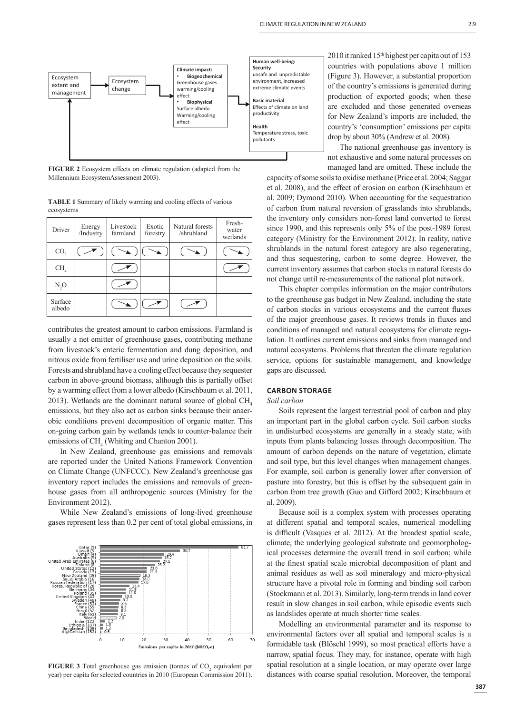

**FIGURE 2** Ecosystem effects on climate regulation (adapted from the Millennium EcosystemAssessment 2003).

**TABLE 1** Summary of likely warming and cooling effects of various ecosystems

| Driver            | Energy<br>/Industry | Livestock<br>farmland | Exotic<br>forestry | Natural forests<br>/shrubland | Fresh-<br>water<br>wetlands |
|-------------------|---------------------|-----------------------|--------------------|-------------------------------|-----------------------------|
| CO <sub>2</sub>   |                     |                       |                    |                               |                             |
| CH <sub>a</sub>   |                     |                       |                    |                               |                             |
| $N_2O$            |                     |                       |                    |                               |                             |
| Surface<br>albedo |                     |                       |                    |                               |                             |

contributes the greatest amount to carbon emissions. Farmland is usually a net emitter of greenhouse gases, contributing methane from livestock's enteric fermentation and dung deposition, and nitrous oxide from fertiliser use and urine deposition on the soils. Forests and shrubland have a cooling effect because they sequester carbon in above-ground biomass, although this is partially offset by a warming effect from a lower albedo (Kirschbaum et al. 2011, 2013). Wetlands are the dominant natural source of global  $CH<sub>4</sub>$ emissions, but they also act as carbon sinks because their anaerobic conditions prevent decomposition of organic matter. This on-going carbon gain by wetlands tends to counter-balance their emissions of  $CH<sub>4</sub>$  (Whiting and Chanton 2001).

In New Zealand, greenhouse gas emissions and removals are reported under the United Nations Framework Convention on Climate Change (UNFCCC). New Zealand's greenhouse gas inventory report includes the emissions and removals of greenhouse gases from all anthropogenic sources (Ministry for the Environment 2012).

While New Zealand's emissions of long-lived greenhouse gases represent less than 0.2 per cent of total global emissions, in



**FIGURE 3** Total greenhouse gas emission (tonnes of  $CO<sub>2</sub>$  equivalent per year) per capita for selected countries in 2010 (European Commission 2011).

2010 it ranked 15<sup>th</sup> highest per capita out of 153 countries with populations above 1 million (Figure 3). However, a substantial proportion of the country's emissions is generated during production of exported goods; when these are excluded and those generated overseas for New Zealand's imports are included, the country's 'consumption' emissions per capita drop by about 30% (Andrew et al. 2008).

The national greenhouse gas inventory is not exhaustive and some natural processes on managed land are omitted. These include the

capacity of some soils to oxidise methane (Price et al. 2004; Saggar et al. 2008), and the effect of erosion on carbon (Kirschbaum et al. 2009; Dymond 2010). When accounting for the sequestration of carbon from natural reversion of grasslands into shrublands, the inventory only considers non-forest land converted to forest since 1990, and this represents only 5% of the post-1989 forest category (Ministry for the Environment 2012). In reality, native shrublands in the natural forest category are also regenerating, and thus sequestering, carbon to some degree. However, the current inventory assumes that carbon stocks in natural forests do not change until re-measurements of the national plot network.

This chapter compiles information on the major contributors to the greenhouse gas budget in New Zealand, including the state of carbon stocks in various ecosystems and the current fluxes of the major greenhouse gases. It reviews trends in fluxes and conditions of managed and natural ecosystems for climate regulation. It outlines current emissions and sinks from managed and natural ecosystems. Problems that threaten the climate regulation service, options for sustainable management, and knowledge gaps are discussed.

## **CARBON STORAGE**

*Soil carbon*

Soils represent the largest terrestrial pool of carbon and play an important part in the global carbon cycle. Soil carbon stocks in undisturbed ecosystems are generally in a steady state, with inputs from plants balancing losses through decomposition. The amount of carbon depends on the nature of vegetation, climate and soil type, but this level changes when management changes. For example, soil carbon is generally lower after conversion of pasture into forestry, but this is offset by the subsequent gain in carbon from tree growth (Guo and Gifford 2002; Kirschbaum et al. 2009).

Because soil is a complex system with processes operating at different spatial and temporal scales, numerical modelling is difficult (Vasques et al. 2012). At the broadest spatial scale, climate, the underlying geological substrate and geomorphological processes determine the overall trend in soil carbon; while at the finest spatial scale microbial decomposition of plant and animal residues as well as soil mineralogy and micro-physical structure have a pivotal role in forming and binding soil carbon (Stockmann et al. 2013). Similarly, long-term trends in land cover result in slow changes in soil carbon, while episodic events such as landslides operate at much shorter time scales.

Modelling an environmental parameter and its response to environmental factors over all spatial and temporal scales is a formidable task (Blöschl 1999), so most practical efforts have a narrow, spatial focus. They may, for instance, operate with high spatial resolution at a single location, or may operate over large distances with coarse spatial resolution. Moreover, the temporal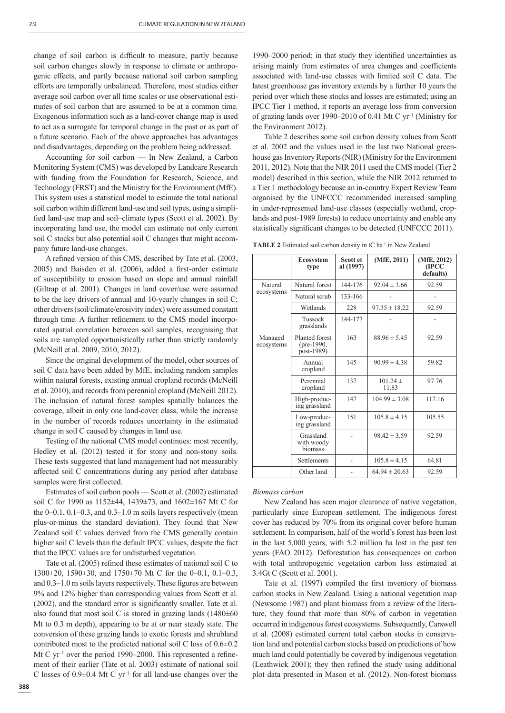change of soil carbon is difficult to measure, partly because soil carbon changes slowly in response to climate or anthropogenic effects, and partly because national soil carbon sampling efforts are temporally unbalanced. Therefore, most studies either average soil carbon over all time scales or use observational estimates of soil carbon that are assumed to be at a common time. Exogenous information such as a land-cover change map is used to act as a surrogate for temporal change in the past or as part of a future scenario. Each of the above approaches has advantages and disadvantages, depending on the problem being addressed.

Accounting for soil carbon –– In New Zealand, a Carbon Monitoring System (CMS) was developed by Landcare Research with funding from the Foundation for Research, Science, and Technology (FRST) and the Ministry for the Environment (MfE). This system uses a statistical model to estimate the total national soil carbon within different land-use and soil types, using a simplified land-use map and soil–climate types (Scott et al. 2002). By incorporating land use, the model can estimate not only current soil C stocks but also potential soil C changes that might accompany future land-use changes.

A refined version of this CMS, described by Tate et al. (2003, 2005) and Baisden et al. (2006), added a first-order estimate of susceptibility to erosion based on slope and annual rainfall (Giltrap et al. 2001). Changes in land cover/use were assumed to be the key drivers of annual and 10-yearly changes in soil C; other drivers (soil/climate/erosivity index) were assumed constant through time. A further refinement to the CMS model incorporated spatial correlation between soil samples, recognising that soils are sampled opportunistically rather than strictly randomly (McNeill et al. 2009, 2010, 2012).

Since the original development of the model, other sources of soil C data have been added by MfE, including random samples within natural forests, existing annual cropland records (McNeill et al. 2010), and records from perennial cropland (McNeill 2012). The inclusion of natural forest samples spatially balances the coverage, albeit in only one land-cover class, while the increase in the number of records reduces uncertainty in the estimated change in soil C caused by changes in land use.

Testing of the national CMS model continues: most recently, Hedley et al. (2012) tested it for stony and non-stony soils. These tests suggested that land management had not measurably affected soil C concentrations during any period after database samples were first collected.

Estimates of soil carbon pools — Scott et al. (2002) estimated soil C for 1990 as 1152±44, 1439±73, and 1602±167 Mt C for the 0–0.1, 0.1–0.3, and 0.3–1.0 m soils layers respectively (mean plus-or-minus the standard deviation). They found that New Zealand soil C values derived from the CMS generally contain higher soil C levels than the default IPCC values, despite the fact that the IPCC values are for undisturbed vegetation.

Tate et al.  $(2005)$  refined these estimates of national soil C to 1300±20, 1590±30, and 1750±70 Mt C for the 0–0.1, 0.1–0.3, and  $0.3-1.0$  m soils layers respectively. These figures are between 9% and 12% higher than corresponding values from Scott et al.  $(2002)$ , and the standard error is significantly smaller. Tate et al. also found that most soil C is stored in grazing lands  $(1480±60$ Mt to 0.3 m depth), appearing to be at or near steady state. The conversion of these grazing lands to exotic forests and shrubland contributed most to the predicted national soil C loss of 0.6±0.2 Mt C yr<sup>-1</sup> over the period 1990–2000. This represented a refinement of their earlier (Tate et al. 2003) estimate of national soil C losses of 0.9±0.4 Mt C yr−<sup>1</sup> for all land-use changes over the 1990–2000 period; in that study they identified uncertainties as arising mainly from estimates of area changes and coefficients associated with land-use classes with limited soil C data. The latest greenhouse gas inventory extends by a further 10 years the period over which these stocks and losses are estimated; using an IPCC Tier 1 method, it reports an average loss from conversion of grazing lands over 1990–2010 of 0.41 Mt C  $yr^{-1}$  (Ministry for the Environment 2012).

Table 2 describes some soil carbon density values from Scott et al. 2002 and the values used in the last two National greenhouse gas Inventory Reports (NIR) (Ministry for the Environment 2011, 2012). Note that the NIR 2011 used the CMS model (Tier 2 model) described in this section, while the NIR 2012 returned to a Tier 1 methodology because an in-country Expert Review Team organised by the UNFCCC recommended increased sampling in under-represented land-use classes (especially wetland, croplands and post-1989 forests) to reduce uncertainty and enable any statistically significant changes to be detected (UNFCCC 2011).

TABLE 2 Estimated soil carbon density in tC ha<sup>-1</sup> in New Zealand

|                       | <b>Ecosystem</b><br>type                            | Scott et<br>al (1997) | (MfE, 2011)           | (MfE, 2012)<br>(IPCC<br>defaults) |
|-----------------------|-----------------------------------------------------|-----------------------|-----------------------|-----------------------------------|
| Natural               | Natural forest                                      | 144-176               | $92.04 \pm 3.66$      | 92.59                             |
| ecosystems            | Natural scrub                                       | 133-166               |                       |                                   |
|                       | Wetlands                                            | 228                   | $97.35 \pm 18.22$     | 92.59                             |
|                       | Tussock<br>grasslands                               | 144-177               |                       |                                   |
| Managed<br>ecosystems | Planted forest<br>$(\text{pre-1990})$<br>post-1989) | 163                   | $88.96 \pm 5.45$      | 92.59                             |
|                       | Annual<br>cropland                                  | 145                   | $90.99 \pm 4.38$      | 59.82                             |
|                       | Perennial<br>cropland                               | 137                   | $101.24 \pm$<br>11.83 | 97.76                             |
|                       | High-produc-<br>ing grassland                       | 147                   | $104.99 \pm 3.08$     | 117.16                            |
|                       | Low-produc-<br>ing grassland                        | 151                   | $105.8 \pm 4.15$      | 105.55                            |
|                       | Grassland<br>with woody<br>biomass                  |                       | $98.42 \pm 3.59$      | 92.59                             |
|                       | Settlements                                         |                       | $105.8 \pm 4.15$      | 64.81                             |
|                       | Other land                                          |                       | $64.94 \pm 20.63$     | 92.59                             |

#### *Biomass carbon*

New Zealand has seen major clearance of native vegetation, particularly since European settlement. The indigenous forest cover has reduced by 70% from its original cover before human settlement. In comparison, half of the world's forest has been lost in the last 5,000 years, with 5.2 million ha lost in the past ten years (FAO 2012). Deforestation has consequences on carbon with total anthropogenic vegetation carbon loss estimated at 3.4Gt C (Scott et al. 2001).

Tate et al. (1997) compiled the first inventory of biomass carbon stocks in New Zealand. Using a national vegetation map (Newsome 1987) and plant biomass from a review of the literature, they found that more than 80% of carbon in vegetation occurred in indigenous forest ecosystems. Subsequently, Carswell et al. (2008) estimated current total carbon stocks in conservation land and potential carbon stocks based on predictions of how much land could potentially be covered by indigenous vegetation (Leathwick  $2001$ ); they then refined the study using additional plot data presented in Mason et al. (2012). Non-forest biomass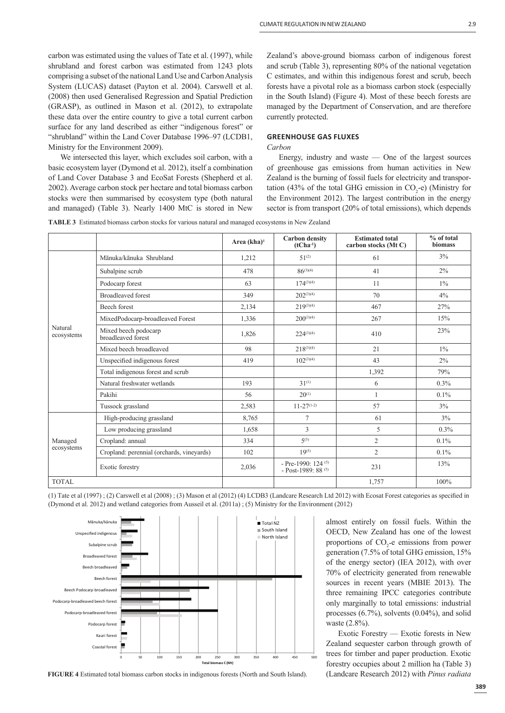carbon was estimated using the values of Tate et al. (1997), while shrubland and forest carbon was estimated from 1243 plots comprising a subset of the national Land Use and Carbon Analysis System (LUCAS) dataset (Payton et al. 2004). Carswell et al. (2008) then used Generalised Regression and Spatial Prediction (GRASP), as outlined in Mason et al. (2012), to extrapolate these data over the entire country to give a total current carbon surface for any land described as either "indigenous forest" or "shrubland" within the Land Cover Database 1996–97 (LCDB1, Ministry for the Environment 2009).

We intersected this layer, which excludes soil carbon, with a basic ecosystem layer (Dymond et al. 2012), itself a combination of Land Cover Database 3 and EcoSat Forests (Shepherd et al. 2002). Average carbon stock per hectare and total biomass carbon stocks were then summarised by ecosystem type (both natural and managed) (Table 3). Nearly 1400 MtC is stored in New

Zealand's above-ground biomass carbon of indigenous forest and scrub (Table 3), representing 80% of the national vegetation C estimates, and within this indigenous forest and scrub, beech forests have a pivotal role as a biomass carbon stock (especially in the South Island) (Figure 4). Most of these beech forests are managed by the Department of Conservation, and are therefore currently protected.

## **GREENHOUSE GAS FLUXES**

## *Carbon*

Energy, industry and waste –– One of the largest sources of greenhouse gas emissions from human activities in New Zealand is the burning of fossil fuels for electricity and transportation (43% of the total GHG emission in  $CO<sub>2</sub>$ -e) (Ministry for the Environment 2012). The largest contribution in the energy sector is from transport (20% of total emissions), which depends

**TABLE 3** Estimated biomass carbon stocks for various natural and managed ecosystems in New Zealand

|                       |                                            | Area $(kha)^4$ | <b>Carbon</b> density<br>$(tCha^{-1})$         | <b>Estimated total</b><br>carbon stocks (Mt C) | % of total<br>biomass |
|-----------------------|--------------------------------------------|----------------|------------------------------------------------|------------------------------------------------|-----------------------|
|                       | Mānuka/kānuka Shrubland                    | 1,212          | $51^{(2)}$                                     | 61                                             | 3%                    |
|                       | Subalpine scrub                            | 478            | $86^{(3)(4)}$                                  | 41                                             | $2\%$                 |
|                       | Podocarp forest                            | 63             | $174^{(3)(4)}$                                 | 11                                             | $1\%$                 |
|                       | <b>Broadleaved</b> forest                  | 349            | $202^{(3)(4)}$                                 | 70                                             | $4\%$                 |
|                       | Beech forest                               | 2,134          | $219^{(3)(4)}$                                 | 467                                            | 27%                   |
|                       | MixedPodocarp-broadleaved Forest           | 1,336          | $200^{(3)(4)}$                                 | 267                                            | 15%                   |
| Natural<br>ecosystems | Mixed beech podocarp<br>broadleaved forest | 1,826          | $224^{(3)(4)}$                                 | 410                                            | 23%                   |
|                       | Mixed beech broadleaved                    | 98             | $218^{(3)(4)}$                                 | 21                                             | $1\%$                 |
|                       | Unspecified indigenous forest              | 419            | $102^{(3)(4)}$                                 | 43                                             | $2\%$                 |
|                       | Total indigenous forest and scrub          |                |                                                | 1,392                                          | 79%                   |
|                       | Natural freshwater wetlands                | 193            | $31^{(1)}$                                     | 6                                              | $0.3\%$               |
|                       | Pakihi                                     | 56             | $20^{(1)}$                                     |                                                | $0.1\%$               |
|                       | Tussock grassland                          | 2,583          | $11 - 27$ <sup>(1-2)</sup>                     | 57                                             | $3\%$                 |
|                       | High-producing grassland                   | 8,765          | $\overline{7}$                                 | 61                                             | $3\%$                 |
|                       | Low producing grassland                    | 1,658          | 3                                              | 5                                              | 0.3%                  |
| Managed               | Cropland: annual                           | 334            | $5^{(5)}$                                      | $\overline{2}$                                 | 0.1%                  |
| ecosystems            | Cropland: perennial (orchards, vineyards)  | 102            | $19^{(5)}$                                     | $\overline{2}$                                 | $0.1\%$               |
|                       | Exotic forestry                            | 2,036          | - Pre-1990: 124 $(5)$<br>- Post-1989: 88 $(5)$ | 231                                            | 13%                   |
| <b>TOTAL</b>          |                                            |                |                                                | 1,757                                          | 100%                  |

(1) Tate et al  $(1997)$ ; (2) Carswell et al  $(2008)$ ; (3) Mason et al  $(2012)$  (4) LCDB3 (Landcare Research Ltd 2012) with Ecosat Forest categories as specified in (Dymond et al. 2012) and wetland categories from Ausseil et al. (2011a) ; (5) Ministry for the Environment (2012)



**FIGURE 4** Estimated total biomass carbon stocks in indigenous forests (North and South Island).

almost entirely on fossil fuels. Within the OECD, New Zealand has one of the lowest proportions of  $CO<sub>2</sub>$ -e emissions from power generation (7.5% of total GHG emission, 15% of the energy sector) (IEA 2012), with over 70% of electricity generated from renewable sources in recent years (MBIE 2013). The three remaining IPCC categories contribute only marginally to total emissions: industrial processes (6.7%), solvents (0.04%), and solid waste (2.8%).

Exotic Forestry –– Exotic forests in New Zealand sequester carbon through growth of trees for timber and paper production. Exotic forestry occupies about 2 million ha (Table 3) (Landcare Research 2012) with *Pinus radiata*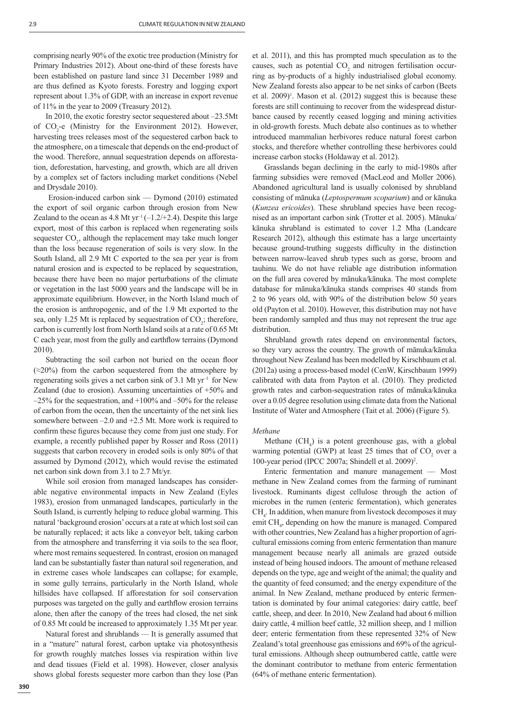comprising nearly 90% of the exotic tree production (Ministry for Primary Industries 2012). About one-third of these forests have been established on pasture land since 31 December 1989 and are thus defined as Kyoto forests. Forestry and logging export represent about 1.3% of GDP, with an increase in export revenue of 11% in the year to 2009 (Treasury 2012).

In 2010, the exotic forestry sector sequestered about –23.5Mt of  $CO<sub>2</sub>$ -e (Ministry for the Environment 2012). However, harvesting trees releases most of the sequestered carbon back to the atmosphere, on a timescale that depends on the end-product of the wood. Therefore, annual sequestration depends on afforestation, deforestation, harvesting, and growth, which are all driven by a complex set of factors including market conditions (Nebel and Drysdale 2010).

 Erosion-induced carbon sink –– Dymond (2010) estimated the export of soil organic carbon through erosion from New Zealand to the ocean as 4.8 Mt yr<sup>-1</sup> ( $-1.2/+2.4$ ). Despite this large export, most of this carbon is replaced when regenerating soils sequester CO<sub>2</sub>, although the replacement may take much longer than the loss because regeneration of soils is very slow. In the South Island, all 2.9 Mt C exported to the sea per year is from natural erosion and is expected to be replaced by sequestration, because there have been no major perturbations of the climate or vegetation in the last 5000 years and the landscape will be in approximate equilibrium. However, in the North Island much of the erosion is anthropogenic, and of the 1.9 Mt exported to the sea, only 1.25 Mt is replaced by sequestration of CO<sub>2</sub>; therefore, carbon is currently lost from North Island soils at a rate of 0.65 Mt C each year, most from the gully and earthflow terrains (Dymond 2010).

Subtracting the soil carbon not buried on the ocean floor  $(\approx 20\%)$  from the carbon sequestered from the atmosphere by regenerating soils gives a net carbon sink of 3.1 Mt  $yr^{-1}$  for New Zealand (due to erosion). Assuming uncertainties of +50% and  $-25\%$  for the sequestration, and  $+100\%$  and  $-50\%$  for the release of carbon from the ocean, then the uncertainty of the net sink lies somewhere between –2.0 and +2.5 Mt. More work is required to confirm these figures because they come from just one study. For example, a recently published paper by Rosser and Ross (2011) suggests that carbon recovery in eroded soils is only 80% of that assumed by Dymond (2012), which would revise the estimated net carbon sink down from 3.1 to 2.7 Mt/yr.

While soil erosion from managed landscapes has considerable negative environmental impacts in New Zealand (Eyles 1983), erosion from unmanaged landscapes, particularly in the South Island, is currently helping to reduce global warming. This natural 'background erosion' occurs at a rate at which lost soil can be naturally replaced; it acts like a conveyor belt, taking carbon from the atmosphere and transferring it via soils to the sea floor, where most remains sequestered. In contrast, erosion on managed land can be substantially faster than natural soil regeneration, and in extreme cases whole landscapes can collapse; for example, in some gully terrains, particularly in the North Island, whole hillsides have collapsed. If afforestation for soil conservation purposes was targeted on the gully and earthflow erosion terrains alone, then after the canopy of the trees had closed, the net sink of 0.85 Mt could be increased to approximately 1.35 Mt per year.

Natural forest and shrublands –– It is generally assumed that in a "mature" natural forest, carbon uptake via photosynthesis for growth roughly matches losses via respiration within live and dead tissues (Field et al. 1998). However, closer analysis shows global forests sequester more carbon than they lose (Pan

increase carbon stocks (Holdaway et al. 2012). Grasslands began declining in the early to mid-1980s after farming subsidies were removed (MacLeod and Moller 2006). Abandoned agricultural land is usually colonised by shrubland consisting of mānuka (*Leptospermum scoparium*) and or kānuka (*Kunzea ericoides*). These shrubland species have been recog-

nised as an important carbon sink (Trotter et al. 2005). Mānuka/ kānuka shrubland is estimated to cover 1.2 Mha (Landcare Research 2012), although this estimate has a large uncertainty because ground-truthing suggests difficulty in the distinction between narrow-leaved shrub types such as gorse, broom and tauhinu. We do not have reliable age distribution information on the full area covered by mānuka/kānuka. The most complete database for mānuka/kānuka stands comprises 40 stands from 2 to 96 years old, with 90% of the distribution below 50 years old (Payton et al. 2010). However, this distribution may not have been randomly sampled and thus may not represent the true age distribution.

et al. 2011), and this has prompted much speculation as to the causes, such as potential  $CO<sub>2</sub>$  and nitrogen fertilisation occurring as by-products of a highly industrialised global economy. New Zealand forests also appear to be net sinks of carbon (Beets et al.  $2009$ <sup>1</sup>. Mason et al.  $(2012)$  suggest this is because these forests are still continuing to recover from the widespread disturbance caused by recently ceased logging and mining activities in old-growth forests. Much debate also continues as to whether introduced mammalian herbivores reduce natural forest carbon stocks, and therefore whether controlling these herbivores could

Shrubland growth rates depend on environmental factors, so they vary across the country. The growth of mānuka/kānuka throughout New Zealand has been modelled by Kirschbaum et al. (2012a) using a process-based model (CenW, Kirschbaum 1999) calibrated with data from Payton et al. (2010). They predicted growth rates and carbon-sequestration rates of mānuka/kānuka over a 0.05 degree resolution using climate data from the National Institute of Water and Atmosphere (Tait et al. 2006) (Figure 5).

#### *Methane*

Methane  $(CH_4)$  is a potent greenhouse gas, with a global warming potential (GWP) at least 25 times that of  $CO<sub>2</sub>$  over a 100-year period (IPCC 2007a; Shindell et al. 2009)2 .

Enteric fermentation and manure management –– Most methane in New Zealand comes from the farming of ruminant livestock. Ruminants digest cellulose through the action of microbes in the rumen (enteric fermentation), which generates  $CH<sub>4</sub>$ . In addition, when manure from livestock decomposes it may emit CH<sub>4</sub>, depending on how the manure is managed. Compared with other countries, New Zealand has a higher proportion of agricultural emissions coming from enteric fermentation than manure management because nearly all animals are grazed outside instead of being housed indoors. The amount of methane released depends on the type, age and weight of the animal; the quality and the quantity of feed consumed; and the energy expenditure of the animal. In New Zealand, methane produced by enteric fermentation is dominated by four animal categories: dairy cattle, beef cattle, sheep, and deer. In 2010, New Zealand had about 6 million dairy cattle, 4 million beef cattle, 32 million sheep, and 1 million deer; enteric fermentation from these represented 32% of New Zealand's total greenhouse gas emissions and 69% of the agricultural emissions. Although sheep outnumbered cattle, cattle were the dominant contributor to methane from enteric fermentation (64% of methane enteric fermentation).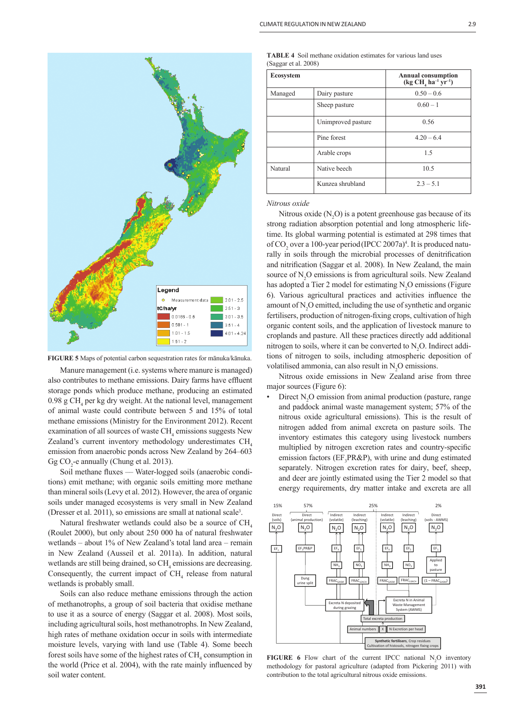

**FIGURE 5** Maps of potential carbon sequestration rates for mānuka/kānuka.

Manure management (i.e. systems where manure is managed) also contributes to methane emissions. Dairy farms have effluent storage ponds which produce methane, producing an estimated 0.98 g CH<sub>4</sub> per kg dry weight. At the national level, management of animal waste could contribute between 5 and 15% of total methane emissions (Ministry for the Environment 2012). Recent examination of all sources of waste  $\mathrm{CH}_4$  emissions suggests New Zealand's current inventory methodology underestimates  $CH<sub>4</sub>$ emission from anaerobic ponds across New Zealand by 264–603 Gg  $CO_2$ -e annually (Chung et al. 2013).

Soil methane fluxes — Water-logged soils (anaerobic conditions) emit methane; with organic soils emitting more methane than mineral soils (Levy et al. 2012). However, the area of organic soils under managed ecosystems is very small in New Zealand (Dresser et al. 2011), so emissions are small at national scale3 .

Natural freshwater wetlands could also be a source of CH<sub>4</sub> (Roulet 2000), but only about 250 000 ha of natural freshwater wetlands – about 1% of New Zealand's total land area – remain in New Zealand (Ausseil et al. 2011a). In addition, natural wetlands are still being drained, so  $CH<sub>4</sub>$  emissions are decreasing. Consequently, the current impact of  $CH<sub>4</sub>$  release from natural wetlands is probably small.

Soils can also reduce methane emissions through the action of methanotrophs, a group of soil bacteria that oxidise methane to use it as a source of energy (Saggar et al. 2008). Most soils, including agricultural soils, host methanotrophs. In New Zealand, high rates of methane oxidation occur in soils with intermediate moisture levels, varying with land use (Table 4). Some beech forest soils have some of the highest rates of  $\text{CH}_4$  consumption in the world (Price et al. 2004), with the rate mainly influenced by soil water content.

|                      | <b>TABLE 4</b> Soil methane oxidation estimates for various land uses |  |
|----------------------|-----------------------------------------------------------------------|--|
| (Saggar et al. 2008) |                                                                       |  |

| <b>Ecosystem</b>         |                    | <b>Annual consumption</b><br>$(\text{kg CH}_{4} \text{ ha}^{-1} \text{ yr}^{-1})$ |
|--------------------------|--------------------|-----------------------------------------------------------------------------------|
| Managed<br>Dairy pasture |                    | $0.50 - 0.6$                                                                      |
|                          | Sheep pasture      | $0.60 - 1$                                                                        |
|                          | Unimproved pasture | 0.56                                                                              |
|                          | Pine forest        | $4.20 - 6.4$                                                                      |
|                          | Arable crops       | 1.5                                                                               |
| Natural                  | Native beech       | 10.5                                                                              |
|                          | Kunzea shrubland   | $2.3 - 5.1$                                                                       |

*Nitrous oxide*

Nitrous oxide  $(N_2O)$  is a potent greenhouse gas because of its strong radiation absorption potential and long atmospheric lifetime. Its global warming potential is estimated at 298 times that of  $CO_2$  over a 100-year period (IPCC 2007a)<sup>4</sup>. It is produced naturally in soils through the microbial processes of denitrification and nitrification (Saggar et al. 2008). In New Zealand, the main source of  $N_2O$  emissions is from agricultural soils. New Zealand has adopted a Tier 2 model for estimating  $N_2O$  emissions (Figure 6). Various agricultural practices and activities influence the amount of  $N_2O$  emitted, including the use of synthetic and organic fertilisers, production of nitrogen-fixing crops, cultivation of high organic content soils, and the application of livestock manure to croplands and pasture. All these practices directly add additional nitrogen to soils, where it can be converted to  $N_2O$ . Indirect additions of nitrogen to soils, including atmospheric deposition of volatilised ammonia, can also result in  $N_2O$  emissions.

Nitrous oxide emissions in New Zealand arise from three major sources (Figure 6):

• Direct  $N_2O$  emission from animal production (pasture, range and paddock animal waste management system; 57% of the nitrous oxide agricultural emissions). This is the result of nitrogen added from animal excreta on pasture soils. The inventory estimates this category using livestock numbers multiplied by nitrogen excretion rates and country-specific emission factors ( $EF_3PR\&P$ ), with urine and dung estimated separately. Nitrogen excretion rates for dairy, beef, sheep, and deer are jointly estimated using the Tier 2 model so that energy requirements, dry matter intake and excreta are all



**FIGURE 6** Flow chart of the current IPCC national  $N_2$ O inventory methodology for pastoral agriculture (adapted from Pickering 2011) with contribution to the total agricultural nitrous oxide emissions.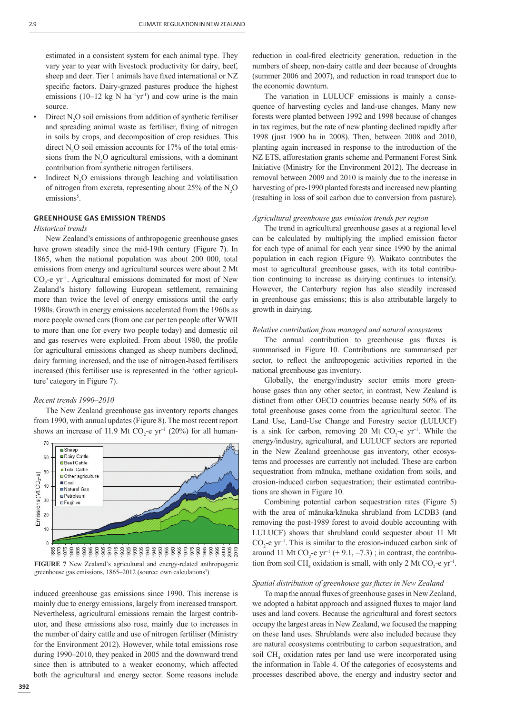estimated in a consistent system for each animal type. They vary year to year with livestock productivity for dairy, beef, sheep and deer. Tier 1 animals have fixed international or NZ specific factors. Dairy-grazed pastures produce the highest emissions (10–12 kg N ha<sup>-1</sup>yr<sup>1</sup>) and cow urine is the main source.

- Direct  $N_2O$  soil emissions from addition of synthetic fertiliser and spreading animal waste as fertiliser, fixing of nitrogen in soils by crops, and decomposition of crop residues. This direct  $N_2$ O soil emission accounts for 17% of the total emissions from the  $N_2O$  agricultural emissions, with a dominant contribution from synthetic nitrogen fertilisers.
- Indirect  $N_2O$  emissions through leaching and volatilisation of nitrogen from excreta, representing about 25% of the  $N_2O$ emissions<sup>5</sup>.

## **GREENHOUSE GAS EMISSION TRENDS**

## *Historical trends*

New Zealand's emissions of anthropogenic greenhouse gases have grown steadily since the mid-19th century (Figure 7). In 1865, when the national population was about 200 000, total emissions from energy and agricultural sources were about 2 Mt  $CO_2$ -e yr<sup>-1</sup>. Agricultural emissions dominated for most of New Zealand's history following European settlement, remaining more than twice the level of energy emissions until the early 1980s. Growth in energy emissions accelerated from the 1960s as more people owned cars (from one car per ten people after WWII to more than one for every two people today) and domestic oil and gas reserves were exploited. From about 1980, the profile for agricultural emissions changed as sheep numbers declined, dairy farming increased, and the use of nitrogen-based fertilisers increased (this fertiliser use is represented in the 'other agriculture' category in Figure 7).

#### *Recent trends 1990–2010*

The New Zealand greenhouse gas inventory reports changes from 1990, with annual updates (Figure 8). The most recent report shows an increase of 11.9 Mt  $CO_2$ -e yr<sup>-1</sup> (20%) for all human-



**FIGURE 7** New Zealand's agricultural and energy-related anthropogenic greenhouse gas emissions, 1865–2012 (source: own calculations<sup>7</sup>).

induced greenhouse gas emissions since 1990. This increase is mainly due to energy emissions, largely from increased transport. Nevertheless, agricultural emissions remain the largest contributor, and these emissions also rose, mainly due to increases in the number of dairy cattle and use of nitrogen fertiliser (Ministry for the Environment 2012). However, while total emissions rose during 1990–2010, they peaked in 2005 and the downward trend since then is attributed to a weaker economy, which affected both the agricultural and energy sector. Some reasons include

reduction in coal-fired electricity generation, reduction in the numbers of sheep, non-dairy cattle and deer because of droughts (summer 2006 and 2007), and reduction in road transport due to the economic downturn.

The variation in LULUCF emissions is mainly a consequence of harvesting cycles and land-use changes. Many new forests were planted between 1992 and 1998 because of changes in tax regimes, but the rate of new planting declined rapidly after 1998 (just 1900 ha in 2008). Then, between 2008 and 2010, planting again increased in response to the introduction of the NZ ETS, afforestation grants scheme and Permanent Forest Sink Initiative (Ministry for the Environment 2012). The decrease in removal between 2009 and 2010 is mainly due to the increase in harvesting of pre-1990 planted forests and increased new planting (resulting in loss of soil carbon due to conversion from pasture).

## *Agricultural greenhouse gas emission trends per region*

The trend in agricultural greenhouse gases at a regional level can be calculated by multiplying the implied emission factor for each type of animal for each year since 1990 by the animal population in each region (Figure 9). Waikato contributes the most to agricultural greenhouse gases, with its total contribution continuing to increase as dairying continues to intensify. However, the Canterbury region has also steadily increased in greenhouse gas emissions; this is also attributable largely to growth in dairying.

#### *Relative contribution from managed and natural ecosystems*

The annual contribution to greenhouse gas fluxes is summarised in Figure 10. Contributions are summarised per sector, to reflect the anthropogenic activities reported in the national greenhouse gas inventory.

Globally, the energy/industry sector emits more greenhouse gases than any other sector; in contrast, New Zealand is distinct from other OECD countries because nearly 50% of its total greenhouse gases come from the agricultural sector. The Land Use, Land-Use Change and Forestry sector (LULUCF) is a sink for carbon, removing 20 Mt  $CO_2$ -e yr<sup>-1</sup>. While the energy/industry, agricultural, and LULUCF sectors are reported in the New Zealand greenhouse gas inventory, other ecosystems and processes are currently not included. These are carbon sequestration from mānuka, methane oxidation from soils, and erosion-induced carbon sequestration; their estimated contributions are shown in Figure 10.

Combining potential carbon sequestration rates (Figure 5) with the area of mānuka/kānuka shrubland from LCDB3 (and removing the post-1989 forest to avoid double accounting with LULUCF) shows that shrubland could sequester about 11 Mt  $CO_2$ -e yr<sup>-1</sup>. This is similar to the erosion-induced carbon sink of around 11 Mt  $CO_2$ -e yr<sup>-1</sup> (+ 9.1, -7.3); in contrast, the contribution from soil CH<sub>4</sub> oxidation is small, with only 2 Mt CO<sub>2</sub>-e  $yr^{-1}$ .

#### *Spatial distribution of greenhouse gas fluxes in New Zealand*

To map the annual fluxes of greenhouse gases in New Zealand, we adopted a habitat approach and assigned fluxes to major land uses and land covers. Because the agricultural and forest sectors occupy the largest areas in New Zealand, we focused the mapping on these land uses. Shrublands were also included because they are natural ecosystems contributing to carbon sequestration, and soil CH<sub>4</sub> oxidation rates per land use were incorporated using the information in Table 4. Of the categories of ecosystems and processes described above, the energy and industry sector and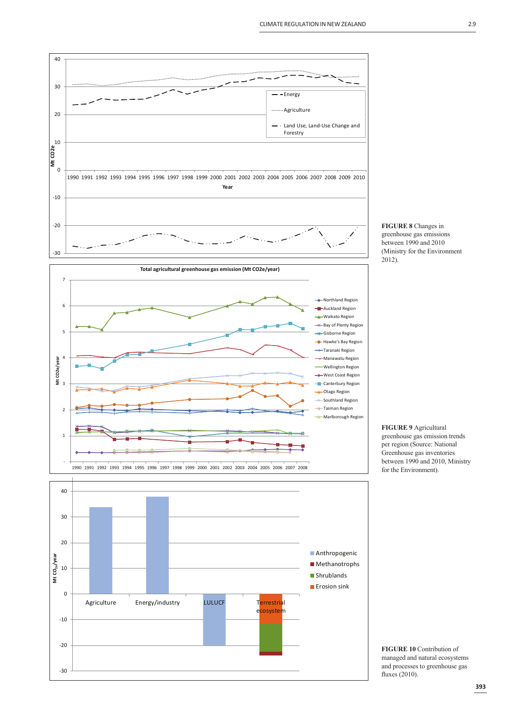



**FIGURE 9** Agricultural greenhouse gas emission trends per region (Source: National Greenhouse gas inventories between 1990 and 2010, Ministry for the Environment).

**FIGURE 10** Contribution of managed and natural ecosystems and processes to greenhouse gas fluxes (2010).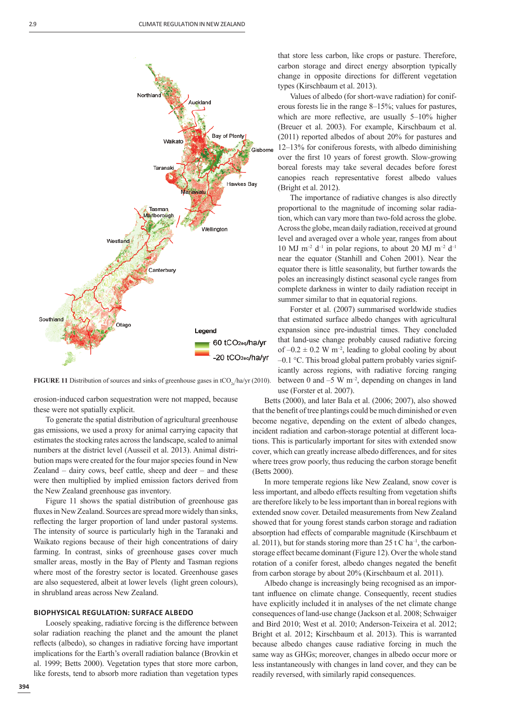

**FIGURE 11** Distribution of sources and sinks of greenhouse gases in tCO<sub>2</sub> /ha/yr (2010).

erosion-induced carbon sequestration were not mapped, because these were not spatially explicit.

To generate the spatial distribution of agricultural greenhouse gas emissions, we used a proxy for animal carrying capacity that estimates the stocking rates across the landscape, scaled to animal numbers at the district level (Ausseil et al. 2013). Animal distribution maps were created for the four major species found in New Zealand – dairy cows, beef cattle, sheep and deer – and these were then multiplied by implied emission factors derived from the New Zealand greenhouse gas inventory.

Figure 11 shows the spatial distribution of greenhouse gas fluxes in New Zealand. Sources are spread more widely than sinks. reflecting the larger proportion of land under pastoral systems. The intensity of source is particularly high in the Taranaki and Waikato regions because of their high concentrations of dairy farming. In contrast, sinks of greenhouse gases cover much smaller areas, mostly in the Bay of Plenty and Tasman regions where most of the forestry sector is located. Greenhouse gases are also sequestered, albeit at lower levels (light green colours), in shrubland areas across New Zealand.

#### **BIOPHYSICAL REGULATION: SURFACE ALBEDO**

Loosely speaking, radiative forcing is the difference between solar radiation reaching the planet and the amount the planet reflects (albedo), so changes in radiative forcing have important implications for the Earth's overall radiation balance (Brovkin et al. 1999; Betts 2000). Vegetation types that store more carbon, like forests, tend to absorb more radiation than vegetation types that store less carbon, like crops or pasture. Therefore, carbon storage and direct energy absorption typically change in opposite directions for different vegetation types (Kirschbaum et al. 2013).

Values of albedo (for short-wave radiation) for coniferous forests lie in the range 8–15%; values for pastures, which are more reflective, are usually  $5-10\%$  higher (Breuer et al. 2003). For example, Kirschbaum et al. (2011) reported albedos of about 20% for pastures and 12–13% for coniferous forests, with albedo diminishing over the first 10 years of forest growth. Slow-growing boreal forests may take several decades before forest canopies reach representative forest albedo values (Bright et al. 2012).

The importance of radiative changes is also directly proportional to the magnitude of incoming solar radiation, which can vary more than two-fold across the globe. Across the globe, mean daily radiation, received at ground level and averaged over a whole year, ranges from about 10 MJ m<sup>-2</sup> d<sup>-1</sup> in polar regions, to about 20 MJ m<sup>-2</sup> d<sup>-1</sup> near the equator (Stanhill and Cohen 2001). Near the equator there is little seasonality, but further towards the poles an increasingly distinct seasonal cycle ranges from complete darkness in winter to daily radiation receipt in summer similar to that in equatorial regions.

Forster et al. (2007) summarised worldwide studies that estimated surface albedo changes with agricultural expansion since pre-industrial times. They concluded that land-use change probably caused radiative forcing of  $-0.2 \pm 0.2$  W m<sup>-2</sup>, leading to global cooling by about –0.1 °C. This broad global pattern probably varies significantly across regions, with radiative forcing ranging between 0 and  $-5 \text{ W m}^2$ , depending on changes in land

use (Forster et al. 2007).

Betts (2000), and later Bala et al. (2006; 2007), also showed that the benefit of tree plantings could be much diminished or even become negative, depending on the extent of albedo changes, incident radiation and carbon-storage potential at different locations. This is particularly important for sites with extended snow cover, which can greatly increase albedo differences, and for sites where trees grow poorly, thus reducing the carbon storage benefit (Betts 2000).

In more temperate regions like New Zealand, snow cover is less important, and albedo effects resulting from vegetation shifts are therefore likely to be less important than in boreal regions with extended snow cover. Detailed measurements from New Zealand showed that for young forest stands carbon storage and radiation absorption had effects of comparable magnitude (Kirschbaum et al. 2011), but for stands storing more than  $25 \text{ t C}$  ha<sup>-1</sup>, the carbonstorage effect became dominant (Figure 12). Over the whole stand rotation of a conifer forest, albedo changes negated the benefit from carbon storage by about 20% (Kirschbaum et al. 2011).

Albedo change is increasingly being recognised as an important influence on climate change. Consequently, recent studies have explicitly included it in analyses of the net climate change consequences of land-use change (Jackson et al. 2008; Schwaiger and Bird 2010; West et al. 2010; Anderson-Teixeira et al. 2012; Bright et al. 2012; Kirschbaum et al. 2013). This is warranted because albedo changes cause radiative forcing in much the same way as GHGs; moreover, changes in albedo occur more or less instantaneously with changes in land cover, and they can be readily reversed, with similarly rapid consequences.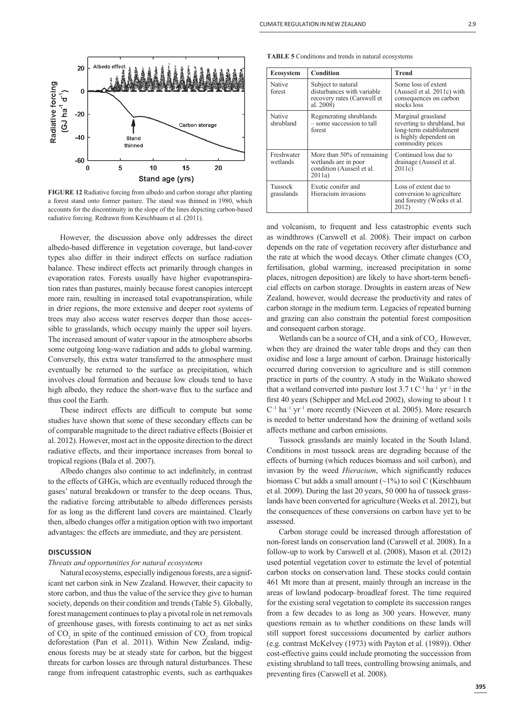

**FIGURE 12** Radiative forcing from albedo and carbon storage after planting a forest stand onto former pasture. The stand was thinned in 1980, which accounts for the discontinuity in the slope of the lines depicting carbon-based radiative forcing. Redrawn from Kirschbaum et al. (2011).

However, the discussion above only addresses the direct albedo-based difference in vegetation coverage, but land-cover types also differ in their indirect effects on surface radiation balance. These indirect effects act primarily through changes in evaporation rates. Forests usually have higher evapotranspiration rates than pastures, mainly because forest canopies intercept more rain, resulting in increased total evapotranspiration, while in drier regions, the more extensive and deeper root systems of trees may also access water reserves deeper than those accessible to grasslands, which occupy mainly the upper soil layers. The increased amount of water vapour in the atmosphere absorbs some outgoing long-wave radiation and adds to global warming. Conversely, this extra water transferred to the atmosphere must eventually be returned to the surface as precipitation, which involves cloud formation and because low clouds tend to have high albedo, they reduce the short-wave flux to the surface and thus cool the Earth.

These indirect effects are difficult to compute but some studies have shown that some of these secondary effects can be of comparable magnitude to the direct radiative effects (Boisier et al. 2012). However, most act in the opposite direction to the direct radiative effects, and their importance increases from boreal to tropical regions (Bala et al. 2007).

Albedo changes also continue to act indefinitely, in contrast to the effects of GHGs, which are eventually reduced through the gases' natural breakdown or transfer to the deep oceans. Thus, the radiative forcing attributable to albedo differences persists for as long as the different land covers are maintained. Clearly then, albedo changes offer a mitigation option with two important advantages: the effects are immediate, and they are persistent.

## **DISCUSSION**

#### *Threats and opportunities for natural ecosystems*

Natural ecosystems, especially indigenous forests, are a significant net carbon sink in New Zealand. However, their capacity to store carbon, and thus the value of the service they give to human society, depends on their condition and trends (Table 5). Globally, forest management continues to play a pivotal role in net removals of greenhouse gases, with forests continuing to act as net sinks of  $CO<sub>2</sub>$  in spite of the continued emission of  $CO<sub>2</sub>$  from tropical deforestation (Pan et al. 2011). Within New Zealand, indigenous forests may be at steady state for carbon, but the biggest threats for carbon losses are through natural disturbances. These range from infrequent catastrophic events, such as earthquakes

| <b>Ecosystem</b>       | <b>Condition</b>                                                                             | <b>Trend</b>                                                                                                               |
|------------------------|----------------------------------------------------------------------------------------------|----------------------------------------------------------------------------------------------------------------------------|
| Native<br>forest       | Subject to natural<br>disturbances with variable<br>recovery rates (Carswell et<br>al. 2008) | Some loss of extent<br>(Ausseil et al. 2011c) with<br>consequences on carbon<br>stocks loss                                |
| Native<br>shrubland    | Regenerating shrublands<br>- some succession to tall<br>forest                               | Marginal grassland<br>reverting to shrubland, but<br>long-term establishment<br>is highly dependent on<br>commodity prices |
| Freshwater<br>wetlands | More than 50% of remaining<br>wetlands are in poor<br>condition (Ausseil et al.<br>2011a)    | Continued loss due to<br>drainage (Ausseil et al.<br>2011c                                                                 |
| Tussock<br>grasslands  | Exotic conifer and<br>Hieracium invasions                                                    | Loss of extent due to<br>conversion to agriculture<br>and forestry (Weeks et al.<br>2012)                                  |

and volcanism, to frequent and less catastrophic events such as windthrows (Carswell et al. 2008). Their impact on carbon depends on the rate of vegetation recovery after disturbance and the rate at which the wood decays. Other climate changes (CO<sub>2</sub>) fertilisation, global warming, increased precipitation in some places, nitrogen deposition) are likely to have short-term beneficial effects on carbon storage. Droughts in eastern areas of New Zealand, however, would decrease the productivity and rates of carbon storage in the medium term. Legacies of repeated burning and grazing can also constrain the potential forest composition and consequent carbon storage.

Wetlands can be a source of  $CH_4$  and a sink of  $CO_2$ . However, when they are drained the water table drops and they can then oxidise and lose a large amount of carbon. Drainage historically occurred during conversion to agriculture and is still common practice in parts of the country. A study in the Waikato showed that a wetland converted into pasture lost  $3.7 \text{ t C}^{-1}$  ha<sup>-1</sup> yr<sup>-1</sup> in the first 40 years (Schipper and McLeod 2002), slowing to about 1 t  $C^{-1}$  ha<sup>-1</sup> yr<sup>-1</sup> more recently (Nieveen et al. 2005). More research is needed to better understand how the draining of wetland soils affects methane and carbon emissions.

Tussock grasslands are mainly located in the South Island. Conditions in most tussock areas are degrading because of the effects of burning (which reduces biomass and soil carbon), and invasion by the weed *Hieracium*, which significantly reduces biomass C but adds a small amount  $(\sim 1\%)$  to soil C (Kirschbaum et al. 2009). During the last 20 years, 50 000 ha of tussock grasslands have been converted for agriculture (Weeks et al. 2012), but the consequences of these conversions on carbon have yet to be assessed.

Carbon storage could be increased through afforestation of non-forest lands on conservation land (Carswell et al. 2008). In a follow-up to work by Carswell et al. (2008), Mason et al. (2012) used potential vegetation cover to estimate the level of potential carbon stocks on conservation land. These stocks could contain 461 Mt more than at present, mainly through an increase in the areas of lowland podocarp–broadleaf forest. The time required for the existing seral vegetation to complete its succession ranges from a few decades to as long as 300 years. However, many questions remain as to whether conditions on these lands will still support forest successions documented by earlier authors (e.g. contrast McKelvey (1973) with Payton et al. (1989)). Other cost-effective gains could include promoting the succession from existing shrubland to tall trees, controlling browsing animals, and preventing fires (Carswell et al. 2008).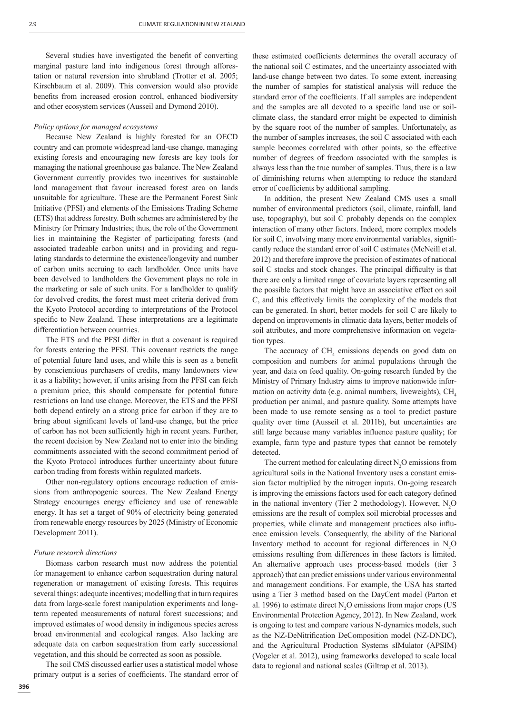Several studies have investigated the benefit of converting marginal pasture land into indigenous forest through afforestation or natural reversion into shrubland (Trotter et al. 2005; Kirschbaum et al. 2009). This conversion would also provide benefits from increased erosion control, enhanced biodiversity and other ecosystem services (Ausseil and Dymond 2010).

#### *Policy options for managed ecosystems*

Because New Zealand is highly forested for an OECD country and can promote widespread land-use change, managing existing forests and encouraging new forests are key tools for managing the national greenhouse gas balance. The New Zealand Government currently provides two incentives for sustainable land management that favour increased forest area on lands unsuitable for agriculture. These are the Permanent Forest Sink Initiative (PFSI) and elements of the Emissions Trading Scheme (ETS) that address forestry. Both schemes are administered by the Ministry for Primary Industries; thus, the role of the Government lies in maintaining the Register of participating forests (and associated tradeable carbon units) and in providing and regulating standards to determine the existence/longevity and number of carbon units accruing to each landholder. Once units have been devolved to landholders the Government plays no role in the marketing or sale of such units. For a landholder to qualify for devolved credits, the forest must meet criteria derived from the Kyoto Protocol according to interpretations of the Protocol specific to New Zealand. These interpretations are a legitimate differentiation between countries.

The ETS and the PFSI differ in that a covenant is required for forests entering the PFSI. This covenant restricts the range of potential future land uses, and while this is seen as a benefit by conscientious purchasers of credits, many landowners view it as a liability; however, if units arising from the PFSI can fetch a premium price, this should compensate for potential future restrictions on land use change. Moreover, the ETS and the PFSI both depend entirely on a strong price for carbon if they are to bring about significant levels of land-use change, but the price of carbon has not been sufficiently high in recent years. Further, the recent decision by New Zealand not to enter into the binding commitments associated with the second commitment period of the Kyoto Protocol introduces further uncertainty about future carbon trading from forests within regulated markets.

Other non-regulatory options encourage reduction of emissions from anthropogenic sources. The New Zealand Energy Strategy encourages energy efficiency and use of renewable energy. It has set a target of 90% of electricity being generated from renewable energy resources by 2025 (Ministry of Economic Development 2011).

#### *Future research directions*

Biomass carbon research must now address the potential for management to enhance carbon sequestration during natural regeneration or management of existing forests. This requires several things: adequate incentives; modelling that in turn requires data from large-scale forest manipulation experiments and longterm repeated measurements of natural forest successions; and improved estimates of wood density in indigenous species across broad environmental and ecological ranges. Also lacking are adequate data on carbon sequestration from early successional vegetation, and this should be corrected as soon as possible.

The soil CMS discussed earlier uses a statistical model whose primary output is a series of coefficients. The standard error of these estimated coefficients determines the overall accuracy of the national soil C estimates, and the uncertainty associated with land-use change between two dates. To some extent, increasing the number of samples for statistical analysis will reduce the standard error of the coefficients. If all samples are independent and the samples are all devoted to a specific land use or soilclimate class, the standard error might be expected to diminish by the square root of the number of samples. Unfortunately, as the number of samples increases, the soil C associated with each sample becomes correlated with other points, so the effective number of degrees of freedom associated with the samples is always less than the true number of samples. Thus, there is a law of diminishing returns when attempting to reduce the standard error of coefficients by additional sampling.

In addition, the present New Zealand CMS uses a small number of environmental predictors (soil, climate, rainfall, land use, topography), but soil C probably depends on the complex interaction of many other factors. Indeed, more complex models for soil C, involving many more environmental variables, significantly reduce the standard error of soil C estimates (McNeill et al. 2012) and therefore improve the precision of estimates of national soil C stocks and stock changes. The principal difficulty is that there are only a limited range of covariate layers representing all the possible factors that might have an associative effect on soil C, and this effectively limits the complexity of the models that can be generated. In short, better models for soil C are likely to depend on improvements in climatic data layers, better models of soil attributes, and more comprehensive information on vegetation types.

The accuracy of  $CH<sub>4</sub>$  emissions depends on good data on composition and numbers for animal populations through the year, and data on feed quality. On-going research funded by the Ministry of Primary Industry aims to improve nationwide information on activity data (e.g. animal numbers, liveweights),  $CH<sub>4</sub>$ production per animal, and pasture quality. Some attempts have been made to use remote sensing as a tool to predict pasture quality over time (Ausseil et al. 2011b), but uncertainties are still large because many variables influence pasture quality; for example, farm type and pasture types that cannot be remotely detected.

The current method for calculating direct  $N_2O$  emissions from agricultural soils in the National Inventory uses a constant emission factor multiplied by the nitrogen inputs. On-going research is improving the emissions factors used for each category defined in the national inventory (Tier 2 methodology). However,  $N_2O$ emissions are the result of complex soil microbial processes and properties, while climate and management practices also influence emission levels. Consequently, the ability of the National Inventory method to account for regional differences in  $N_2O$ emissions resulting from differences in these factors is limited. An alternative approach uses process-based models (tier 3 approach) that can predict emissions under various environmental and management conditions. For example, the USA has started using a Tier 3 method based on the DayCent model (Parton et al. 1996) to estimate direct  $N_2O$  emissions from major crops (US Environmental Protection Agency, 2012). In New Zealand, work is ongoing to test and compare various N-dynamics models, such as the NZ-DeNitrification DeComposition model (NZ-DNDC), and the Agricultural Production Systems sIMulator (APSIM) (Vogeler et al. 2012), using frameworks developed to scale local data to regional and national scales (Giltrap et al. 2013).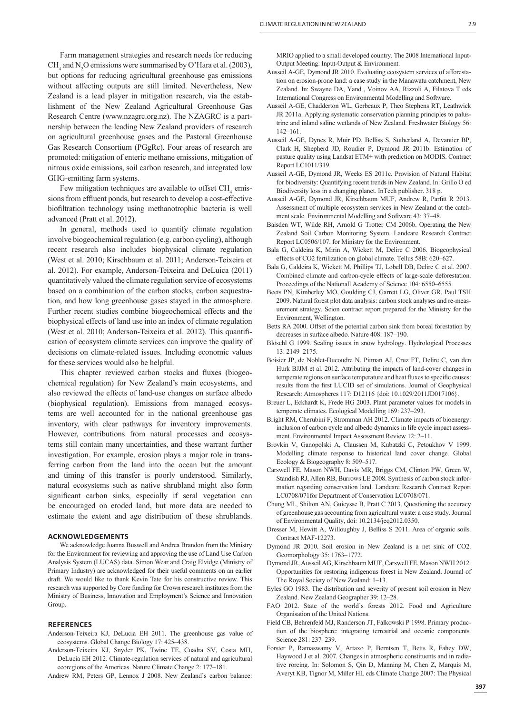Farm management strategies and research needs for reducing  $CH<sub>4</sub>$  and N<sub>2</sub>O emissions were summarised by O'Hara et al. (2003), but options for reducing agricultural greenhouse gas emissions without affecting outputs are still limited. Nevertheless, New Zealand is a lead player in mitigation research, via the establishment of the New Zealand Agricultural Greenhouse Gas Research Centre (www.nzagrc.org.nz). The NZAGRC is a partnership between the leading New Zealand providers of research on agricultural greenhouse gases and the Pastoral Greenhouse Gas Research Consortium (PGgRc). Four areas of research are promoted: mitigation of enteric methane emissions, mitigation of nitrous oxide emissions, soil carbon research, and integrated low GHG-emitting farm systems.

Few mitigation techniques are available to offset  $\text{CH}_4$  emissions from effluent ponds, but research to develop a cost-effective biofiltration technology using methanotrophic bacteria is well advanced (Pratt et al. 2012).

In general, methods used to quantify climate regulation involve biogeochemical regulation (e.g. carbon cycling), although recent research also includes biophysical climate regulation (West et al. 2010; Kirschbaum et al. 2011; Anderson-Teixeira et al. 2012). For example, Anderson-Teixeira and DeLuica (2011) quantitatively valued the climate regulation service of ecosystems based on a combination of the carbon stocks, carbon sequestration, and how long greenhouse gases stayed in the atmosphere. Further recent studies combine biogeochemical effects and the biophysical effects of land use into an index of climate regulation (West et al. 2010; Anderson-Teixeira et al. 2012). This quantification of ecosystem climate services can improve the quality of decisions on climate-related issues. Including economic values for these services would also be helpful.

This chapter reviewed carbon stocks and fluxes (biogeochemical regulation) for New Zealand's main ecosystems, and also reviewed the effects of land-use changes on surface albedo (biophysical regulation). Emissions from managed ecosystems are well accounted for in the national greenhouse gas inventory, with clear pathways for inventory improvements. However, contributions from natural processes and ecosystems still contain many uncertainties, and these warrant further investigation. For example, erosion plays a major role in transferring carbon from the land into the ocean but the amount and timing of this transfer is poorly understood. Similarly, natural ecosystems such as native shrubland might also form significant carbon sinks, especially if seral vegetation can be encouraged on eroded land, but more data are needed to estimate the extent and age distribution of these shrublands.

#### **ACKNOWLEDGEMENTS**

We acknowledge Joanna Buswell and Andrea Brandon from the Ministry for the Environment for reviewing and approving the use of Land Use Carbon Analysis System (LUCAS) data. Simon Wear and Craig Elvidge (Ministry of Primary Industry) are acknowledged for their useful comments on an earlier draft. We would like to thank Kevin Tate for his constructive review. This research was supported by Core funding for Crown research institutes from the Ministry of Business, Innovation and Employment's Science and Innovation Group.

## **REFERENCES**

- Anderson-Teixeira KJ, DeLucia EH 2011. The greenhouse gas value of ecosystems. Global Change Biology 17: 425–438.
- Anderson-Teixeira KJ, Snyder PK, Twine TE, Cuadra SV, Costa MH, DeLucia EH 2012. Climate-regulation services of natural and agricultural ecoregions of the Americas. Nature Climate Change 2: 177–181.
- Andrew RM, Peters GP, Lennox J 2008. New Zealand's carbon balance:

MRIO applied to a small developed country. The 2008 International Input-Output Meeting: Input-Output & Environment.

- Ausseil A-GE, Dymond JR 2010. Evaluating ecosystem services of afforestation on erosion-prone land: a case study in the Manawatu catchment, New Zealand. In: Swayne DA, Yand , Voinov AA, Rizzoli A, Filatova T eds International Congress on Environmental Modelling and Software.
- Ausseil A-GE, Chadderton WL, Gerbeaux P, Theo Stephens RT, Leathwick JR 2011a. Applying systematic conservation planning principles to palustrine and inland saline wetlands of New Zealand. Freshwater Biology 56: 142–161.
- Ausseil A-GE, Dynes R, Muir PD, Belliss S, Sutherland A, Devantier BP, Clark H, Shepherd JD, Roudier P, Dymond JR 2011b. Estimation of pasture quality using Landsat ETM+ with prediction on MODIS. Contract Report LC1011/319.
- Ausseil A-GE, Dymond JR, Weeks ES 2011c. Provision of Natural Habitat for biodiversity: Quantifying recent trends in New Zealand. In: Grillo O ed Biodiversity loss in a changing planet. InTech publisher. 318 p.
- Ausseil A-GE, Dymond JR, Kirschbaum MUF, Andrew R, Parfitt R 2013. Assessment of multiple ecosystem services in New Zealand at the catchment scale. Environmental Modelling and Software 43: 37–48.
- Baisden WT, Wilde RH, Arnold G Trotter CM 2006b. Operating the New Zealand Soil Carbon Monitoring System. Landcare Research Contract Report LC0506/107. for Ministry for the Environment.
- Bala G, Caldeira K, Mirin A, Wickett M, Delire C 2006. Biogeophysical effects of CO2 fertilization on global climate. Tellus 58B: 620–627.
- Bala G, Caldeira K, Wickett M, Phillips TJ, Lobell DB, Delire C et al. 2007. Combined climate and carbon-cycle effects of large-scale deforestation. Proceedings of the Nationall Academy of Science 104: 6550–6555.
- Beets PN, Kimberley MO, Goulding CJ, Garrett LG, Oliver GR, Paul TSH 2009. Natural forest plot data analysis: carbon stock analyses and re-measurement strategy. Scion contract report prepared for the Ministry for the Environment, Wellington.
- Betts RA 2000. Offset of the potential carbon sink from boreal forestation by decreases in surface albedo. Nature 408: 187–190.
- Blöschl G 1999. Scaling issues in snow hydrology. Hydrological Processes 13: 2149–2175.
- Boisier JP, de Noblet-Ducoudre N, Pitman AJ, Cruz FT, Delire C, van den Hurk BJJM et al. 2012. Attributing the impacts of land-cover changes in temperate regions on surface temperature and heat fluxes to specific causes: results from the first LUCID set of simulations. Journal of Geophysical Research: Atmospheres 117: D12116 {doi: 10.1029/2011JD017106}.
- Breuer L, Eckhardt K, Frede HG 2003. Plant parameter values for models in temperate climates. Ecological Modelling 169: 237–293.
- Bright RM, Cherubini F, Stromman AH 2012. Climate impacts of bioenergy: inclusion of carbon cycle and albedo dynamics in life cycle impact assessment. Environmental Impact Assessment Review 12: 2–11.
- Brovkin V, Ganopolski A, Claussen M, Kubatzki C, Petoukhov V 1999. Modelling climate response to historical land cover change. Global Ecology & Biogeography 8: 509–517.
- Carswell FE, Mason NWH, Davis MR, Briggs CM, Clinton PW, Green W, Standish RJ, Allen RB, Burrows LE 2008. Synthesis of carbon stock information regarding conservation land. Landcare Research Contract Report LC0708/071for Department of Conservation LC0708/071.
- Chung ML, Shilton AN, Guieysse B, Pratt C 2013. Questioning the accuracy of greenhouse gas accounting from agricultural waste: a case study. Journal of Environmental Quality, doi: 10.2134/jeq2012.0350.
- Dresser M, Hewitt A, Willoughby J, Belliss S 2011. Area of organic soils. Contract MAF-12273.
- Dymond JR 2010. Soil erosion in New Zealand is a net sink of CO2. Geomorphology 35: 1763–1772.
- Dymond JR, Ausseil AG, Kirschbaum MUF, Carswell FE, Mason NWH 2012. Opportunities for restoring indigenous forest in New Zealand. Journal of The Royal Society of New Zealand: 1–13.
- Eyles GO 1983. The distribution and severity of present soil erosion in New Zealand. New Zealand Geographer 39: 12–28.
- FAO 2012. State of the world's forests 2012. Food and Agriculture Organisation of the United Nations.
- Field CB, Behrenfeld MJ, Randerson JT, Falkowski P 1998. Primary production of the biosphere: integrating terrestrial and oceanic components. Science 281: 237–239.
- Forster P, Ramaswamy V, Artaxo P, Berntsen T, Betts R, Fahey DW, Haywood J et al. 2007. Changes in atmospheric constituents and in radiative rorcing. In: Solomon S, Qin D, Manning M, Chen Z, Marquis M, Averyt KB, Tignor M, Miller HL eds Climate Change 2007: The Physical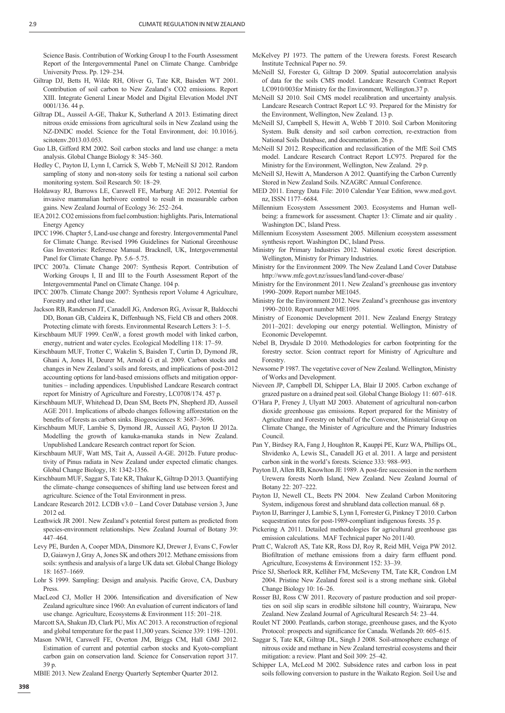Science Basis. Contribution of Working Group I to the Fourth Assessment Report of the Intergovernmental Panel on Climate Change. Cambridge University Press. Pp. 129–234.

- Giltrap DJ, Betts H, Wilde RH, Oliver G, Tate KR, Baisden WT 2001. Contribution of soil carbon to New Zealand's CO2 emissions. Report XIII. Integrate General Linear Model and Digital Elevation Model JNT 0001/136. 44 p.
- Giltrap DL, Ausseil A-GE, Thakur K, Sutherland A 2013. Estimating direct nitrous oxide emissions from agricultural soils in New Zealand using the NZ-DNDC model. Science for the Total Environment, doi: 10.1016/j. scitotenv.2013.03.053.
- Guo LB, Gifford RM 2002. Soil carbon stocks and land use change: a meta analysis. Global Change Biology 8: 345–360.
- Hedley C, Payton IJ, Lynn I, Carrick S, Webb T, McNeill SJ 2012. Random sampling of stony and non-stony soils for testing a national soil carbon monitoring system. Soil Research 50: 18–29.
- Holdaway RJ, Burrows LE, Carswell FE, Marburg AE 2012. Potential for invasive mammalian herbivore control to result in measurable carbon gains. New Zealand Journal of Ecology 36: 252–264.
- IEA 2012. CO2 emissions from fuel combustion: highlights. Paris, International Energy Agency
- IPCC 1996. Chapter 5, Land-use change and forestry. Intergovernmental Panel for Climate Change. Revised 1996 Guidelines for National Greenhouse Gas Inventories: Reference Manual. Bracknell, UK, Intergovernmental Panel for Climate Change. Pp. 5.6–5.75.
- IPCC 2007a. Climate Change 2007: Synthesis Report. Contribution of Working Groups I, II and III to the Fourth Assessment Report of the Intergovernmental Panel on Climate Change. 104 p.
- IPCC 2007b. Climate Change 2007: Synthesis report Volume 4 Agriculture, Forestry and other land use.
- Jackson RB, Randerson JT, Canadell JG, Anderson RG, Avissar R, Baldocchi DD, Bonan GB, Caldeira K, Diffenbaugh NS, Field CB and others 2008. Protecting climate with forests. Environmental Research Letters 3: 1–5.
- Kirschbaum MUF 1999. CenW, a forest growth model with linked carbon, energy, nutrient and water cycles. Ecological Modelling 118: 17–59.
- Kirschbaum MUF, Trotter C, Wakelin S, Baisden T, Curtin D, Dymond JR, Ghani A, Jones H, Deurer M, Arnold G et al. 2009. Carbon stocks and changes in New Zealand's soils and forests, and implications of post-2012 accounting options for land-based emissions offsets and mitigation opportunities – including appendices. Unpublished Landcare Research contract report for Ministry of Agriculture and Forestry, LC0708/174. 457 p.
- Kirschbaum MUF, Whitehead D, Dean SM, Beets PN, Shepherd JD, Ausseil AGE 2011. Implications of albedo changes following afforestation on the benefits of forests as carbon sinks. Biogeosciences 8: 3687–3696.
- Kirschbaum MUF, Lambie S, Dymond JR, Ausseil AG, Payton IJ 2012a. Modelling the growth of kanuka-manuka stands in New Zealand. Unpublished Landcare Research contract report for Scion.
- Kirschbaum MUF, Watt MS, Tait A, Ausseil A-GE. 2012b. Future productivity of Pinus radiata in New Zealand under expected climatic changes. Global Change Biology, 18: 1342-1356.
- Kirschbaum MUF, Saggar S, Tate KR, Thakur K, Giltrap D 2013. Quantifying the climate–change consequences of shifting land use between forest and agriculture. Science of the Total Environment in press.
- Landcare Research 2012. LCDB v3.0 Land Cover Database version 3, June 2012 ed.
- Leathwick JR 2001. New Zealand's potential forest pattern as predicted from species-environment relationships. New Zealand Journal of Botany 39: 447–464.
- Levy PE, Burden A, Cooper MDA, Dinsmore KJ, Drewer J, Evans C, Fowler D, Gaiawyn J, Gray A, Jones SK and others 2012. Methane emissions from soils: synthesis and analysis of a large UK data set. Global Change Biology 18: 1657–1669.
- Lohr S 1999. Sampling: Design and analysis. Pacific Grove, CA, Duxbury Press.
- MacLeod CJ, Moller H 2006. Intensification and diversification of New Zealand agriculture since 1960: An evaluation of current indicators of land use change. Agriculture, Ecosystems & Environment 115: 201–218.
- Marcott SA, Shakun JD, Clark PU, Mix AC 2013. A reconstruction of regional and global temperature for the past 11,300 years. Science 339: 1198–1201.
- Mason NWH, Carswell FE, Overton JM, Briggs CM, Hall GMJ 2012. Estimation of current and potential carbon stocks and Kyoto-compliant carbon gain on conservation land. Science for Conservation report 317. 39 p.
- MBIE 2013. New Zealand Energy Quarterly September Quarter 2012.
- McKelvey PJ 1973. The pattern of the Urewera forests. Forest Research Institute Technical Paper no. 59.
- McNeill SJ, Forester G, Giltrap D 2009. Spatial autocorrelation analysis of data for the soils CMS model. Landcare Research Contract Report LC0910/003for Ministry for the Environment, Wellington.37 p.
- McNeill SJ 2010. Soil CMS model recalibration and uncertainty analysis. Landcare Research Contract Report LC 93. Prepared for the Ministry for the Environment, Wellington, New Zealand. 13 p.
- McNeill SJ, Campbell S, Hewitt A, Webb T 2010. Soil Carbon Monitoring System. Bulk density and soil carbon correction, re-extraction from National Soils Database, and documentation. 26 p.
- McNeill SJ 2012. Respecification and reclassification of the MfE Soil CMS model. Landcare Research Contract Report LC975. Prepared for the Ministry for the Environment, Wellington, New Zealand. 29 p.
- McNeill SJ, Hewitt A, Manderson A 2012. Quantifying the Carbon Currently Stored in New Zealand Soils. NZAGRC Annual Conference.
- MED 2011. Energy Data File: 2010 Calendar Year Edition, www.med.govt. nz, ISSN 1177–6684.
- Millennium Ecosystem Assessment 2003. Ecosystems and Human wellbeing: a framework for assessment. Chapter 13: Climate and air quality . Washington DC, Island Press.
- Millennium Ecosystem Assessment 2005. Millenium ecosystem assessment synthesis report. Washington DC, Island Press.
- Ministry for Primary Industries 2012. National exotic forest description. Wellington, Ministry for Primary Industries.
- Ministry for the Environment 2009. The New Zealand Land Cover Database http://www.mfe.govt.nz/issues/land/land-cover-dbase/
- Ministry for the Environment 2011. New Zealand's greenhouse gas inventory 1990–2009. Report number ME1045.
- Ministry for the Environment 2012. New Zealand's greenhouse gas inventory 1990–2010. Report number ME1095.
- Ministry of Economic Development 2011. New Zealand Energy Strategy 2011–2021: developing our energy potential. Wellington, Ministry of Economic Developemnt.
- Nebel B, Drysdale D 2010. Methodologies for carbon footprinting for the forestry sector. Scion contract report for Ministry of Agriculture and **Forestry**
- Newsome P 1987. The vegetative cover of New Zealand. Wellington, Ministry of Works and Development.
- Nieveen JP, Campbell DI, Schipper LA, Blair IJ 2005. Carbon exchange of grazed pasture on a drained peat soil. Global Change Biology 11: 607–618.
- O'Hara P, Freney J, Ulyatt MJ 2003. Abatement of agricultural non-carbon dioxide greenhouse gas emissions. Report prepared for the Ministry of Agriculture and Forestry on behalf of the Convenor, Ministerial Group on Climate Change, the Minister of Agriculture and the Primary Industries Council.
- Pan Y, Birdsey RA, Fang J, Houghton R, Kauppi PE, Kurz WA, Phillips OL, Shvidenko A, Lewis SL, Canadell JG et al. 2011. A large and persistent carbon sink in the world's forests. Science 333: 988–993.
- Payton IJ, Allen RB, Knowlton JE 1989. A post-fire succession in the northern Urewera forests North Island, New Zealand. New Zealand Journal of Botany 22: 207–222.
- Payton IJ, Newell CL, Beets PN 2004. New Zealand Carbon Monitoring System, indigenous forest and shrubland data collection manual. 68 p.
- Payton IJ, Barringer J, Lambie S, Lynn I, Forrester G, Pinkney T 2010. Carbon sequestration rates for post-1989-compliant indigenous forests. 35 p.
- Pickering A 2011. Detailed methodologies for agricultural greenhouse gas emission calculations. MAF Technical paper No 2011/40.
- Pratt C, Walcroft AS, Tate KR, Ross DJ, Roy R, Reid MH, Veiga PW 2012. Biofiltration of methane emissions from a dairy farm effluent pond. Agriculture, Ecosystems & Environment 152: 33–39.
- Price SJ, Sherlock RR, Kelliher FM, McSeveny TM, Tate KR, Condron LM 2004. Pristine New Zealand forest soil is a strong methane sink. Global Change Biology 10: 16–26.
- Rosser BJ, Ross CW 2011. Recovery of pasture production and soil properties on soil slip scars in erodible siltstone hill country, Wairarapa, New Zealand. New Zealand Journal of Agricultural Research 54: 23–44.
- Roulet NT 2000. Peatlands, carbon storage, greenhouse gases, and the Kyoto Protocol: prospects and significance for Canada. Wetlands 20: 605-615.
- Saggar S, Tate KR, Giltrap DL, Singh J 2008. Soil-atmosphere exchange of nitrous oxide and methane in New Zealand terrestrial ecosystems and their mitigation: a review. Plant and Soil 309: 25–42.
- Schipper LA, McLeod M 2002. Subsidence rates and carbon loss in peat soils following conversion to pasture in the Waikato Region. Soil Use and